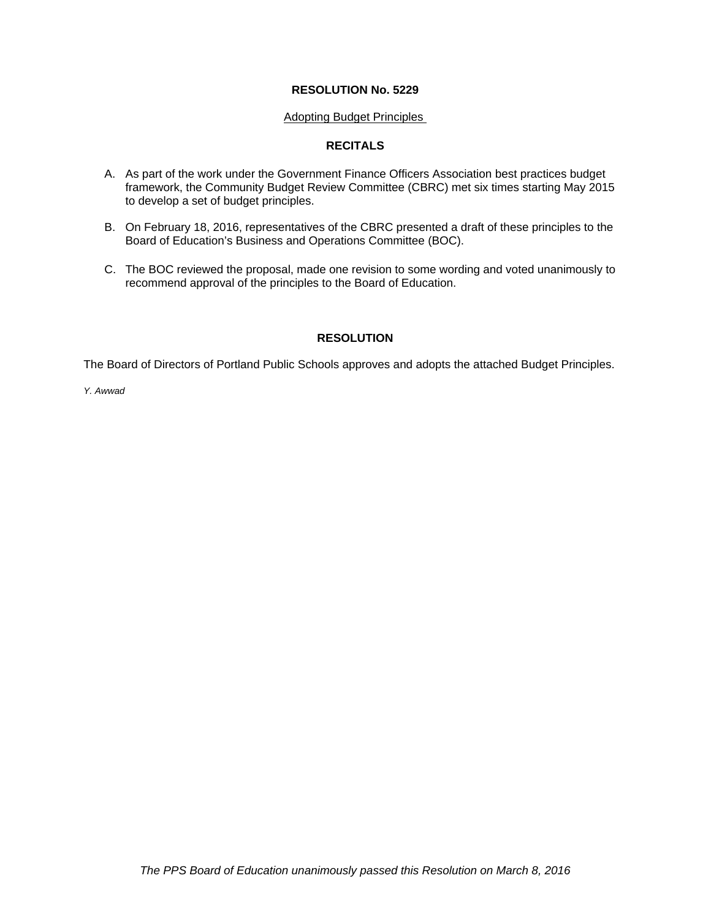#### **RESOLUTION No. 5229**

#### Adopting Budget Principles

#### **RECITALS**

- A. As part of the work under the Government Finance Officers Association best practices budget framework, the Community Budget Review Committee (CBRC) met six times starting May 2015 to develop a set of budget principles.
- B. On February 18, 2016, representatives of the CBRC presented a draft of these principles to the Board of Education's Business and Operations Committee (BOC).
- C. The BOC reviewed the proposal, made one revision to some wording and voted unanimously to recommend approval of the principles to the Board of Education.

#### **RESOLUTION**

The Board of Directors of Portland Public Schools approves and adopts the attached Budget Principles.

*Y. Awwad*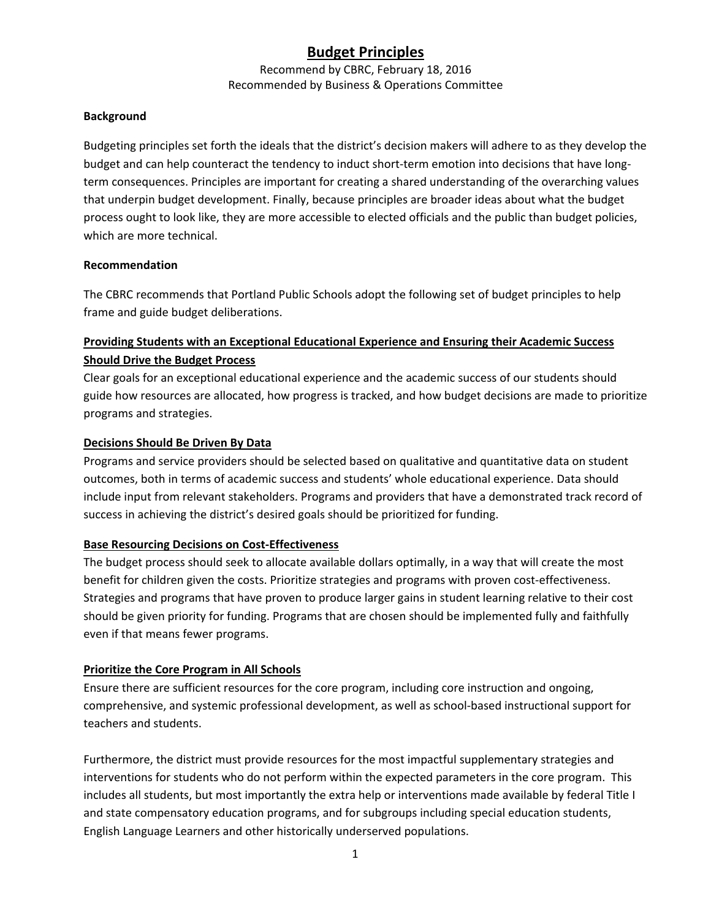## **Budget Principles**

Recommend by CBRC, February 18, 2016 Recommended by Business & Operations Committee

#### **Background**

Budgeting principles set forth the ideals that the district's decision makers will adhere to as they develop the budget and can help counteract the tendency to induct short-term emotion into decisions that have longterm consequences. Principles are important for creating a shared understanding of the overarching values that underpin budget development. Finally, because principles are broader ideas about what the budget process ought to look like, they are more accessible to elected officials and the public than budget policies, which are more technical.

#### **Recommendation**

The CBRC recommends that Portland Public Schools adopt the following set of budget principles to help frame and guide budget deliberations.

## **Providing Students with an Exceptional Educational Experience and Ensuring their Academic Success Should Drive the Budget Process**

Clear goals for an exceptional educational experience and the academic success of our students should guide how resources are allocated, how progress is tracked, and how budget decisions are made to prioritize programs and strategies.

#### **Decisions Should Be Driven By Data**

Programs and service providers should be selected based on qualitative and quantitative data on student outcomes, both in terms of academic success and students' whole educational experience. Data should include input from relevant stakeholders. Programs and providers that have a demonstrated track record of success in achieving the district's desired goals should be prioritized for funding.

### **Base Resourcing Decisions on Cost‐Effectiveness**

The budget process should seek to allocate available dollars optimally, in a way that will create the most benefit for children given the costs. Prioritize strategies and programs with proven cost-effectiveness. Strategies and programs that have proven to produce larger gains in student learning relative to their cost should be given priority for funding. Programs that are chosen should be implemented fully and faithfully even if that means fewer programs.

### **Prioritize the Core Program in All Schools**

Ensure there are sufficient resources for the core program, including core instruction and ongoing, comprehensive, and systemic professional development, as well as school-based instructional support for teachers and students.

Furthermore, the district must provide resources for the most impactful supplementary strategies and interventions for students who do not perform within the expected parameters in the core program. This includes all students, but most importantly the extra help or interventions made available by federal Title I and state compensatory education programs, and for subgroups including special education students, English Language Learners and other historically underserved populations.